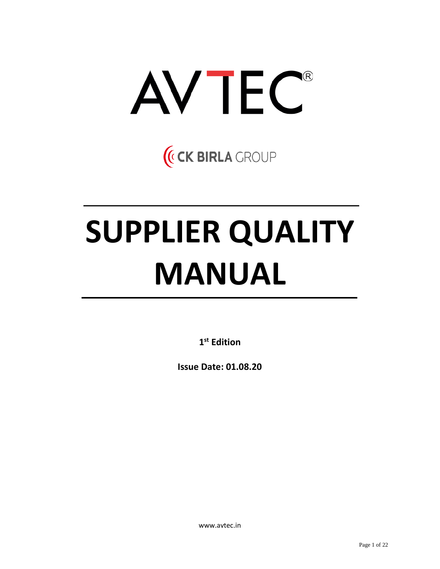

(CK BIRLA CROUP

# **SUPPLIER QUALITY MANUAL**

**1 st Edition**

**Issue Date: 01.08.20**

www.avtec.in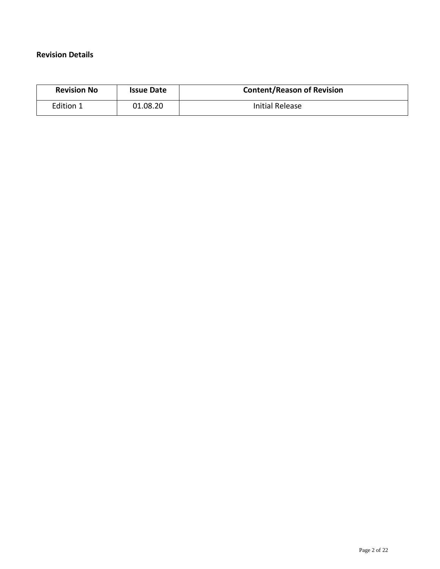## **Revision Details**

| <b>Revision No</b> | <b>Issue Date</b> | <b>Content/Reason of Revision</b> |  |  |
|--------------------|-------------------|-----------------------------------|--|--|
| Edition 1          | 01.08.20          | Initial Release                   |  |  |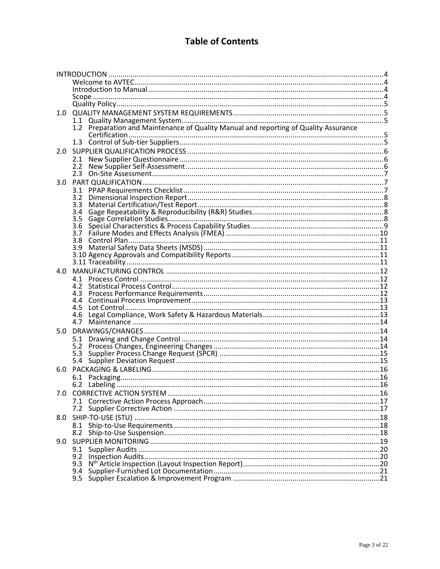## **Table of Contents**

| 1.0 |                                                                                                |  |
|-----|------------------------------------------------------------------------------------------------|--|
|     | 1.1<br>Preparation and Maintenance of Quality Manual and reporting of Quality Assurance<br>1.2 |  |
|     |                                                                                                |  |
|     |                                                                                                |  |
| 2.0 |                                                                                                |  |
|     | 2.1                                                                                            |  |
|     | $2.2^{\circ}$                                                                                  |  |
|     | 2.3                                                                                            |  |
| 3.0 |                                                                                                |  |
|     | 3.1                                                                                            |  |
|     | 3.2<br>3.3                                                                                     |  |
|     | 3.4                                                                                            |  |
|     | 3.5                                                                                            |  |
|     | 3.6                                                                                            |  |
|     | 3.7                                                                                            |  |
|     | 3.8<br>3.9                                                                                     |  |
|     |                                                                                                |  |
|     |                                                                                                |  |
| 4.0 |                                                                                                |  |
|     | 4.1                                                                                            |  |
|     | 4.2                                                                                            |  |
|     |                                                                                                |  |
|     | 4.5                                                                                            |  |
|     | 4.6                                                                                            |  |
|     | 4.7                                                                                            |  |
| 5.0 |                                                                                                |  |
|     | 5.1                                                                                            |  |
|     |                                                                                                |  |
|     |                                                                                                |  |
|     |                                                                                                |  |
| 6.0 |                                                                                                |  |
|     | 6.1                                                                                            |  |
|     |                                                                                                |  |
|     |                                                                                                |  |
|     |                                                                                                |  |
| 8.0 |                                                                                                |  |
|     | 8.1                                                                                            |  |
|     | 8.2                                                                                            |  |
| 9.0 |                                                                                                |  |
|     | 9.1                                                                                            |  |
|     | 9.2                                                                                            |  |
|     | 9.3                                                                                            |  |
|     | 9.4<br>9.5                                                                                     |  |
|     |                                                                                                |  |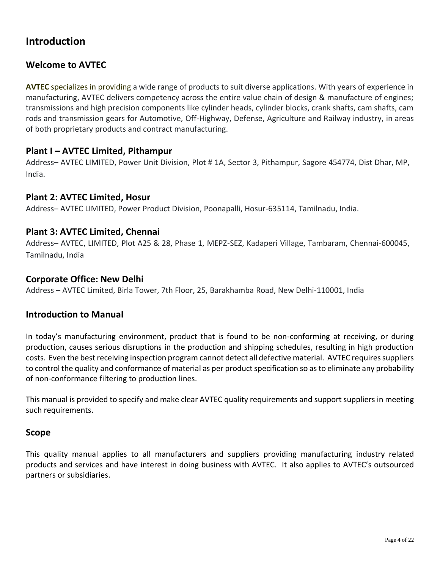## <span id="page-3-0"></span>**Introduction**

## <span id="page-3-1"></span>**Welcome to AVTEC**

**AVTEC** specializes in providing a wide range of products to suit diverse applications. With years of experience in manufacturing, AVTEC delivers competency across the entire value chain of design & manufacture of engines; transmissions and high precision components like cylinder heads, cylinder blocks, crank shafts, cam shafts, cam rods and transmission gears for Automotive, Off-Highway, Defense, Agriculture and Railway industry, in areas of both proprietary products and contract manufacturing.

## **Plant I – AVTEC Limited, Pithampur**

Address– AVTEC LIMITED, Power Unit Division, Plot # 1A, Sector 3, Pithampur, Sagore 454774, Dist Dhar, MP, India.

## **Plant 2: AVTEC Limited, Hosur**

Address– AVTEC LIMITED, Power Product Division, Poonapalli, Hosur-635114, Tamilnadu, India.

## **Plant 3: AVTEC Limited, Chennai**

Address– AVTEC, LIMITED, Plot A25 & 28, Phase 1, MEPZ-SEZ, Kadaperi Village, Tambaram, Chennai-600045, Tamilnadu, India

## **Corporate Office: New Delhi**

Address – AVTEC Limited, Birla Tower, 7th Floor, 25, Barakhamba Road, New Delhi-110001, India

## <span id="page-3-2"></span>**Introduction to Manual**

In today's manufacturing environment, product that is found to be non-conforming at receiving, or during production, causes serious disruptions in the production and shipping schedules, resulting in high production costs. Even the best receiving inspection program cannot detect all defective material. AVTEC requires suppliers to control the quality and conformance of material as per product specification so as to eliminate any probability of non-conformance filtering to production lines.

This manual is provided to specify and make clear AVTEC quality requirements and support suppliers in meeting such requirements.

## <span id="page-3-3"></span>**Scope**

This quality manual applies to all manufacturers and suppliers providing manufacturing industry related products and services and have interest in doing business with AVTEC. It also applies to AVTEC's outsourced partners or subsidiaries.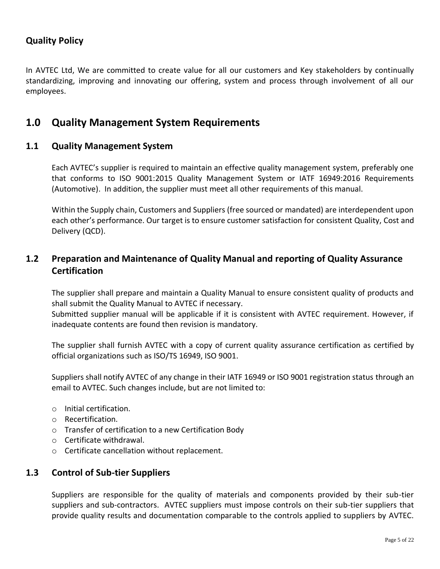## <span id="page-4-0"></span>**Quality Policy**

In AVTEC Ltd, We are committed to create value for all our customers and Key stakeholders by continually standardizing, improving and innovating our offering, system and process through involvement of all our employees.

## <span id="page-4-1"></span>**1.0 Quality Management System Requirements**

#### <span id="page-4-2"></span>**1.1 Quality Management System**

Each AVTEC's supplier is required to maintain an effective quality management system, preferably one that conforms to ISO 9001:2015 Quality Management System or IATF 16949:2016 Requirements (Automotive). In addition, the supplier must meet all other requirements of this manual.

Within the Supply chain, Customers and Suppliers (free sourced or mandated) are interdependent upon each other's performance. Our target is to ensure customer satisfaction for consistent Quality, Cost and Delivery (QCD).

## <span id="page-4-3"></span>**1.2 Preparation and Maintenance of Quality Manual and reporting of Quality Assurance Certification**

The supplier shall prepare and maintain a Quality Manual to ensure consistent quality of products and shall submit the Quality Manual to AVTEC if necessary.

Submitted supplier manual will be applicable if it is consistent with AVTEC requirement. However, if inadequate contents are found then revision is mandatory.

The supplier shall furnish AVTEC with a copy of current quality assurance certification as certified by official organizations such as ISO/TS 16949, ISO 9001.

Suppliers shall notify AVTEC of any change in their IATF 16949 or ISO 9001 registration status through an email to AVTEC. Such changes include, but are not limited to:

- o Initial certification.
- o Recertification.
- o Transfer of certification to a new Certification Body
- o Certificate withdrawal.
- o Certificate cancellation without replacement.

## <span id="page-4-4"></span>**1.3 Control of Sub-tier Suppliers**

Suppliers are responsible for the quality of materials and components provided by their sub-tier suppliers and sub-contractors. AVTEC suppliers must impose controls on their sub-tier suppliers that provide quality results and documentation comparable to the controls applied to suppliers by AVTEC.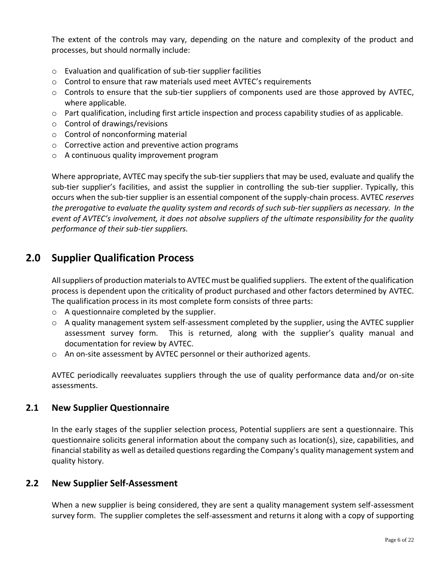The extent of the controls may vary, depending on the nature and complexity of the product and processes, but should normally include:

- o Evaluation and qualification of sub-tier supplier facilities
- $\circ$  Control to ensure that raw materials used meet AVTEC's requirements
- $\circ$  Controls to ensure that the sub-tier suppliers of components used are those approved by AVTEC, where applicable.
- o Part qualification, including first article inspection and process capability studies of as applicable.
- o Control of drawings/revisions
- o Control of nonconforming material
- o Corrective action and preventive action programs
- o A continuous quality improvement program

Where appropriate, AVTEC may specify the sub-tier suppliers that may be used, evaluate and qualify the sub-tier supplier's facilities, and assist the supplier in controlling the sub-tier supplier. Typically, this occurs when the sub-tier supplier is an essential component of the supply-chain process. AVTEC *reserves the prerogative to evaluate the quality system and records of such sub-tier suppliers as necessary. In the event of AVTEC's involvement, it does not absolve suppliers of the ultimate responsibility for the quality performance of their sub-tier suppliers.*

## <span id="page-5-0"></span>**2.0 Supplier Qualification Process**

All suppliers of production materials to AVTEC must be qualified suppliers. The extent of the qualification process is dependent upon the criticality of product purchased and other factors determined by AVTEC. The qualification process in its most complete form consists of three parts:

- o A questionnaire completed by the supplier.
- $\circ$  A quality management system self-assessment completed by the supplier, using the AVTEC supplier assessment survey form. This is returned, along with the supplier's quality manual and documentation for review by AVTEC.
- o An on-site assessment by AVTEC personnel or their authorized agents.

AVTEC periodically reevaluates suppliers through the use of quality performance data and/or on-site assessments.

## <span id="page-5-1"></span>**2.1 New Supplier Questionnaire**

In the early stages of the supplier selection process, Potential suppliers are sent a questionnaire. This questionnaire solicits general information about the company such as location(s), size, capabilities, and financial stability as well as detailed questions regarding the Company's quality management system and quality history.

## <span id="page-5-2"></span>**2.2 New Supplier Self-Assessment**

When a new supplier is being considered, they are sent a quality management system self-assessment survey form. The supplier completes the self-assessment and returns it along with a copy of supporting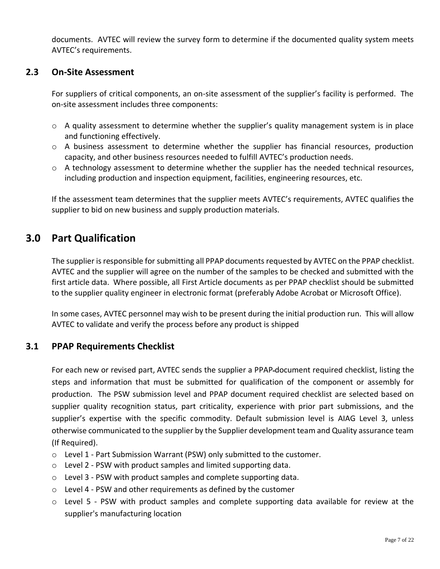documents. AVTEC will review the survey form to determine if the documented quality system meets AVTEC's requirements.

## <span id="page-6-0"></span>**2.3 On-Site Assessment**

For suppliers of critical components, an on-site assessment of the supplier's facility is performed. The on-site assessment includes three components:

- $\circ$  A quality assessment to determine whether the supplier's quality management system is in place and functioning effectively.
- $\circ$  A business assessment to determine whether the supplier has financial resources, production capacity, and other business resources needed to fulfill AVTEC's production needs.
- o A technology assessment to determine whether the supplier has the needed technical resources, including production and inspection equipment, facilities, engineering resources, etc.

If the assessment team determines that the supplier meets AVTEC's requirements, AVTEC qualifies the supplier to bid on new business and supply production materials.

## <span id="page-6-1"></span>**3.0 Part Qualification**

The supplier is responsible for submitting all PPAP documents requested by AVTEC on the PPAP checklist. AVTEC and the supplier will agree on the number of the samples to be checked and submitted with the first article data. Where possible, all First Article documents as per PPAP checklist should be submitted to the supplier quality engineer in electronic format (preferably Adobe Acrobat or Microsoft Office).

In some cases, AVTEC personnel may wish to be present during the initial production run. This will allow AVTEC to validate and verify the process before any product is shipped

## <span id="page-6-2"></span>**3.1 PPAP Requirements Checklist**

For each new or revised part, AVTEC sends the supplier a PPAP document required checklist, listing the steps and information that must be submitted for qualification of the component or assembly for production. The PSW submission level and PPAP document required checklist are selected based on supplier quality recognition status, part criticality, experience with prior part submissions, and the supplier's expertise with the specific commodity. Default submission level is AIAG Level 3, unless otherwise communicated to the supplier by the Supplier development team and Quality assurance team (If Required).

- $\circ$  Level 1 Part Submission Warrant (PSW) only submitted to the customer.
- $\circ$  Level 2 PSW with product samples and limited supporting data.
- o Level 3 PSW with product samples and complete supporting data.
- o Level 4 PSW and other requirements as defined by the customer
- o Level 5 PSW with product samples and complete supporting data available for review at the supplier's manufacturing location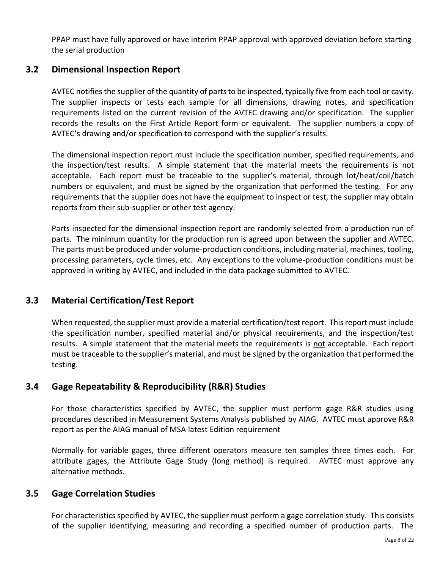PPAP must have fully approved or have interim PPAP approval with approved deviation before starting the serial production

## <span id="page-7-0"></span>**3.2 Dimensional Inspection Report**

AVTEC notifies the supplier of the quantity of parts to be inspected, typically five from each tool or cavity. The supplier inspects or tests each sample for all dimensions, drawing notes, and specification requirements listed on the current revision of the AVTEC drawing and/or specification. The supplier records the results on the First Article Report form or equivalent. The supplier numbers a copy of AVTEC's drawing and/or specification to correspond with the supplier's results.

The dimensional inspection report must include the specification number, specified requirements, and the inspection/test results. A simple statement that the material meets the requirements is not acceptable. Each report must be traceable to the supplier's material, through lot/heat/coil/batch numbers or equivalent, and must be signed by the organization that performed the testing. For any requirements that the supplier does not have the equipment to inspect or test, the supplier may obtain reports from their sub-supplier or other test agency.

Parts inspected for the dimensional inspection report are randomly selected from a production run of parts. The minimum quantity for the production run is agreed upon between the supplier and AVTEC. The parts must be produced under volume-production conditions, including material, machines, tooling, processing parameters, cycle times, etc. Any exceptions to the volume-production conditions must be approved in writing by AVTEC, and included in the data package submitted to AVTEC.

## <span id="page-7-1"></span>**3.3 Material Certification/Test Report**

When requested, the supplier must provide a material certification/test report. This report must include the specification number, specified material and/or physical requirements, and the inspection/test results. A simple statement that the material meets the requirements is not acceptable. Each report must be traceable to the supplier's material, and must be signed by the organization that performed the testing.

## <span id="page-7-2"></span>**3.4 Gage Repeatability & Reproducibility (R&R) Studies**

For those characteristics specified by AVTEC, the supplier must perform gage R&R studies using procedures described in Measurement Systems Analysis published by AIAG. AVTEC must approve R&R report as per the AIAG manual of MSA latest Edition requirement

Normally for variable gages, three different operators measure ten samples three times each. For attribute gages, the Attribute Gage Study (long method) is required. AVTEC must approve any alternative methods.

## <span id="page-7-3"></span>**3.5 Gage Correlation Studies**

For characteristics specified by AVTEC, the supplier must perform a gage correlation study. This consists of the supplier identifying, measuring and recording a specified number of production parts. The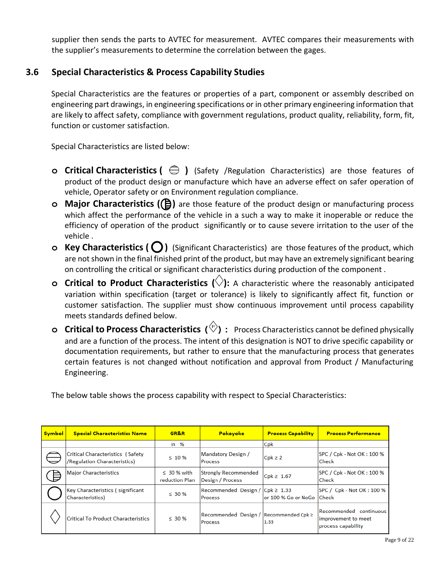supplier then sends the parts to AVTEC for measurement. AVTEC compares their measurements with the supplier's measurements to determine the correlation between the gages.

## <span id="page-8-0"></span>**3.6 Special Characteristics & Process Capability Studies**

Special Characteristics are the features or properties of a part, component or assembly described on engineering part drawings, in engineering specifications or in other primary engineering information that are likely to affect safety, compliance with government regulations, product quality, reliability, form, fit, function or customer satisfaction.

Special Characteristics are listed below:

- **o Critical Characteristics (** $\bigoplus$ ) (Safety /Regulation Characteristics) are those features of product of the product design or manufacture which have an adverse effect on safer operation of vehicle, Operator safety or on Environment regulation compliance.
- **o Major Characteristics ((B)** are those feature of the product design or manufacturing process which affect the performance of the vehicle in a such a way to make it inoperable or reduce the efficiency of operation of the product significantly or to cause severe irritation to the user of the vehicle .
- **o Key Characteristics** (  $\bigcirc$  ) (Significant Characteristics) are those features of the product, which are not shown in the final finished print of the product, but may have an extremely significant bearing on controlling the critical or significant characteristics during production of the component .
- **o Critical to Product Characteristics ( ):** A characteristic where the reasonably anticipated variation within specification (target or tolerance) is likely to significantly affect fit, function or customer satisfaction. The supplier must show continuous improvement until process capability meets standards defined below.
- **o Critical to Process Characteristics ( ):** Process Characteristics cannot be defined physically and are a function of the process. The intent of this designation is NOT to drive specific capability or documentation requirements, but rather to ensure that the manufacturing process that generates certain features is not changed without notification and approval from Product / Manufacturing Engineering.

The below table shows the process capability with respect to Special Characteristics:

| <b>Symbol</b> | <b>Special Characteristics Name</b>                              | GR&R                               | Pokayoke                                          | <b>Process Capability</b>   | <b>Process Performance</b>                                          |
|---------------|------------------------------------------------------------------|------------------------------------|---------------------------------------------------|-----------------------------|---------------------------------------------------------------------|
|               |                                                                  | in $%$                             |                                                   | Cpk                         |                                                                     |
|               | Critical Characteristics (Safety<br>/Regulation Characteristics) | $\leq 10 \%$                       | Mandatory Design /<br>Process                     | $Cpk \geq 2$                | SPC / Cpk - Not OK: 100 %<br><b>Check</b>                           |
|               | <b>Major Characteristics</b>                                     | $\leq 30$ % with<br>reduction Plan | <b>Strongly Recommended</b><br>Design / Process   | $Cpk \geq 1.67$             | SPC / Cpk - Not OK: 100 %<br><b>Check</b>                           |
|               | Key Characteristics (significant<br>Characteristics)             | $\leq$ 30 %                        | Recommended Design / Cpk ≥ 1.33<br>Process        | lor 100 % Go or NoGo  Check | SPC / Cpk - Not OK: 100 %                                           |
|               | <b>Critical To Product Characteristics</b>                       | $\leq 30\%$                        | Recommended Design / Recommended Cpk ≥<br>Process | 1.33                        | Recommended continuous<br>improvement to meet<br>process capability |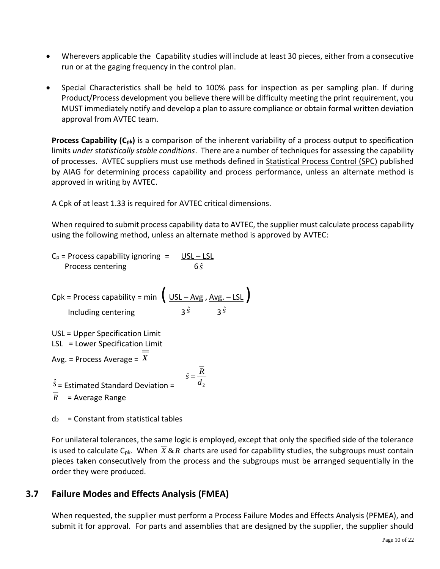- Wherevers applicable the Capability studies will include at least 30 pieces, either from a consecutive run or at the gaging frequency in the control plan.
- Special Characteristics shall be held to 100% pass for inspection as per sampling plan. If during Product/Process development you believe there will be difficulty meeting the print requirement, you MUST immediately notify and develop a plan to assure compliance or obtain formal written deviation approval from AVTEC team.

**Process Capability (Cpk)** is a comparison of the inherent variability of a process output to specification limits *under statistically stable conditions*. There are a number of techniques for assessing the capability of processes. AVTEC suppliers must use methods defined in Statistical Process Control (SPC) published by AIAG for determining process capability and process performance, unless an alternate method is approved in writing by AVTEC.

A Cpk of at least 1.33 is required for AVTEC critical dimensions.

When required to submit process capability data to AVTEC, the supplier must calculate process capability using the following method, unless an alternate method is approved by AVTEC:

$$
C_p
$$
 = Process capability ignoring = USL – LSL  
Process centering 6  $\hat{s}$ 

 $Cpk = Process capability = min \left( \frac{USL - Avg}{, Avg. - LSL} \right)$ Including centering 3  $\hat{s}$  **3** $\hat{s}$ 

USL = Upper Specification Limit LSL = Lower Specification Limit

Avg. = Process Average = *X*

 $\hat{s}$  = Estimated Standard Deviation =  $\overline{R}$  = Average Range

 $d_2$  = Constant from statistical tables

For unilateral tolerances, the same logic is employed, except that only the specified side of the tolerance is used to calculate C<sub>pk</sub>. When  $X \& R$  charts are used for capability studies, the subgroups must contain pieces taken consecutively from the process and the subgroups must be arranged sequentially in the order they were produced.

2  $\hat{s} = \frac{1}{d}$  $\hat{s} = \frac{R}{A}$ 

## <span id="page-9-0"></span>**3.7 Failure Modes and Effects Analysis (FMEA)**

When requested, the supplier must perform a Process Failure Modes and Effects Analysis (PFMEA), and submit it for approval. For parts and assemblies that are designed by the supplier, the supplier should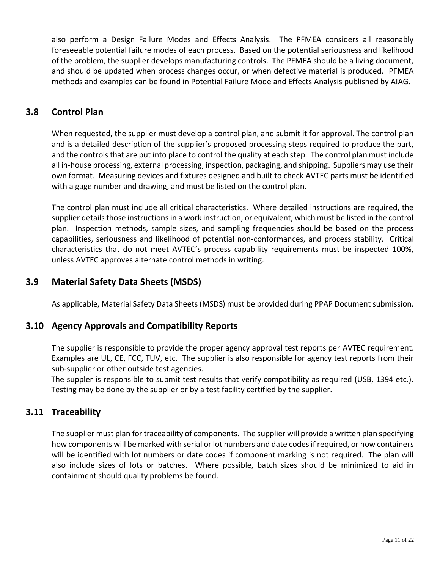also perform a Design Failure Modes and Effects Analysis. The PFMEA considers all reasonably foreseeable potential failure modes of each process. Based on the potential seriousness and likelihood of the problem, the supplier develops manufacturing controls. The PFMEA should be a living document, and should be updated when process changes occur, or when defective material is produced. PFMEA methods and examples can be found in Potential Failure Mode and Effects Analysis published by AIAG.

## <span id="page-10-0"></span>**3.8 Control Plan**

When requested, the supplier must develop a control plan, and submit it for approval. The control plan and is a detailed description of the supplier's proposed processing steps required to produce the part, and the controls that are put into place to control the quality at each step. The control plan must include all in-house processing, external processing, inspection, packaging, and shipping. Suppliers may use their own format. Measuring devices and fixtures designed and built to check AVTEC parts must be identified with a gage number and drawing, and must be listed on the control plan.

The control plan must include all critical characteristics. Where detailed instructions are required, the supplier details those instructions in a work instruction, or equivalent, which must be listed in the control plan. Inspection methods, sample sizes, and sampling frequencies should be based on the process capabilities, seriousness and likelihood of potential non-conformances, and process stability. Critical characteristics that do not meet AVTEC's process capability requirements must be inspected 100%, unless AVTEC approves alternate control methods in writing.

## <span id="page-10-1"></span>**3.9 Material Safety Data Sheets (MSDS)**

As applicable, Material Safety Data Sheets (MSDS) must be provided during PPAP Document submission.

## <span id="page-10-2"></span>**3.10 Agency Approvals and Compatibility Reports**

The supplier is responsible to provide the proper agency approval test reports per AVTEC requirement. Examples are UL, CE, FCC, TUV, etc. The supplier is also responsible for agency test reports from their sub-supplier or other outside test agencies.

The suppler is responsible to submit test results that verify compatibility as required (USB, 1394 etc.). Testing may be done by the supplier or by a test facility certified by the supplier.

## <span id="page-10-3"></span>**3.11 Traceability**

The supplier must plan for traceability of components. The supplier will provide a written plan specifying how components will be marked with serial or lot numbers and date codes if required, or how containers will be identified with lot numbers or date codes if component marking is not required. The plan will also include sizes of lots or batches. Where possible, batch sizes should be minimized to aid in containment should quality problems be found.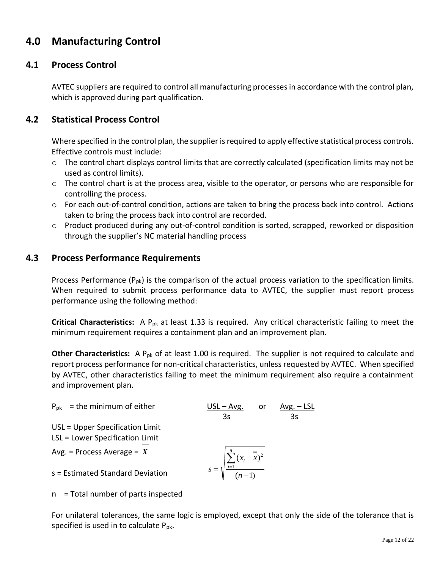## <span id="page-11-0"></span>**4.0 Manufacturing Control**

## <span id="page-11-1"></span>**4.1 Process Control**

AVTEC suppliers are required to control all manufacturing processes in accordance with the control plan, which is approved during part qualification.

## <span id="page-11-2"></span>**4.2 Statistical Process Control**

Where specified in the control plan, the supplier is required to apply effective statistical process controls. Effective controls must include:

- o The control chart displays control limits that are correctly calculated (specification limits may not be used as control limits).
- $\circ$  The control chart is at the process area, visible to the operator, or persons who are responsible for controlling the process.
- o For each out-of-control condition, actions are taken to bring the process back into control. Actions taken to bring the process back into control are recorded.
- $\circ$  Product produced during any out-of-control condition is sorted, scrapped, reworked or disposition through the supplier's NC material handling process

## <span id="page-11-3"></span>**4.3 Process Performance Requirements**

Process Performance  $(P_{pk})$  is the comparison of the actual process variation to the specification limits. When required to submit process performance data to AVTEC, the supplier must report process performance using the following method:

**Critical Characteristics:** A P<sub>pk</sub> at least 1.33 is required. Any critical characteristic failing to meet the minimum requirement requires a containment plan and an improvement plan.

**Other Characteristics:** A P<sub>pk</sub> of at least 1.00 is required. The supplier is not required to calculate and report process performance for non-critical characteristics, unless requested by AVTEC. When specified by AVTEC, other characteristics failing to meet the minimum requirement also require a containment and improvement plan.

$$
P_{pk}
$$
 = the minimum of either

USL = Upper Specification Limit

LSL = Lower Specification Limit

Avg. = Process Average = *X*

s = Estimated Standard Deviation

$$
s = \sqrt{\sum_{i=1}^{n} (x_i - \bar{x})^2}
$$

 $(n-1)$ 

*n*

−

 $USL - Avg.$  or Avg. – LSL 3s 3s

n = Total number of parts inspected

For unilateral tolerances, the same logic is employed, except that only the side of the tolerance that is specified is used in to calculate  $P_{pk}$ .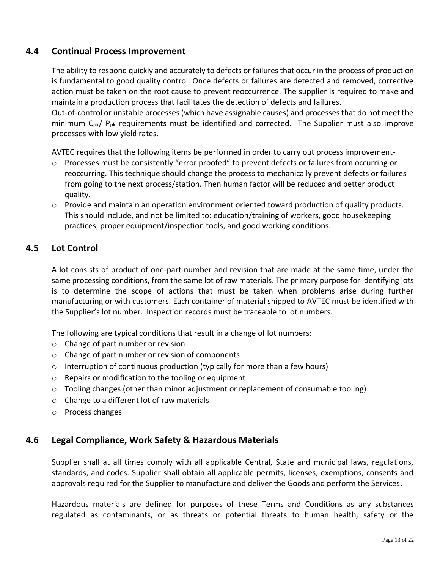## <span id="page-12-0"></span>**4.4 Continual Process Improvement**

The ability to respond quickly and accurately to defects or failures that occur in the process of production is fundamental to good quality control. Once defects or failures are detected and removed, corrective action must be taken on the root cause to prevent reoccurrence. The supplier is required to make and maintain a production process that facilitates the detection of defects and failures.

Out-of-control or unstable processes (which have assignable causes) and processes that do not meet the minimum  $C_{pk}/P_{pk}$  requirements must be identified and corrected. The Supplier must also improve processes with low yield rates.

AVTEC requires that the following items be performed in order to carry out process improvement-

- o Processes must be consistently "error proofed" to prevent defects or failures from occurring or reoccurring. This technique should change the process to mechanically prevent defects or failures from going to the next process/station. Then human factor will be reduced and better product quality.
- $\circ$  Provide and maintain an operation environment oriented toward production of quality products. This should include, and not be limited to: education/training of workers, good housekeeping practices, proper equipment/inspection tools, and good working conditions.

## <span id="page-12-1"></span>**4.5 Lot Control**

A lot consists of product of one-part number and revision that are made at the same time, under the same processing conditions, from the same lot of raw materials. The primary purpose for identifying lots is to determine the scope of actions that must be taken when problems arise during further manufacturing or with customers. Each container of material shipped to AVTEC must be identified with the Supplier's lot number. Inspection records must be traceable to lot numbers.

The following are typical conditions that result in a change of lot numbers:

- o Change of part number or revision
- o Change of part number or revision of components
- $\circ$  Interruption of continuous production (typically for more than a few hours)
- o Repairs or modification to the tooling or equipment
- $\circ$  Tooling changes (other than minor adjustment or replacement of consumable tooling)
- o Change to a different lot of raw materials
- o Process changes

## <span id="page-12-2"></span>**4.6 Legal Compliance, Work Safety & Hazardous Materials**

Supplier shall at all times comply with all applicable Central, State and municipal laws, regulations, standards, and codes. Supplier shall obtain all applicable permits, licenses, exemptions, consents and approvals required for the Supplier to manufacture and deliver the Goods and perform the Services.

Hazardous materials are defined for purposes of these Terms and Conditions as any substances regulated as contaminants, or as threats or potential threats to human health, safety or the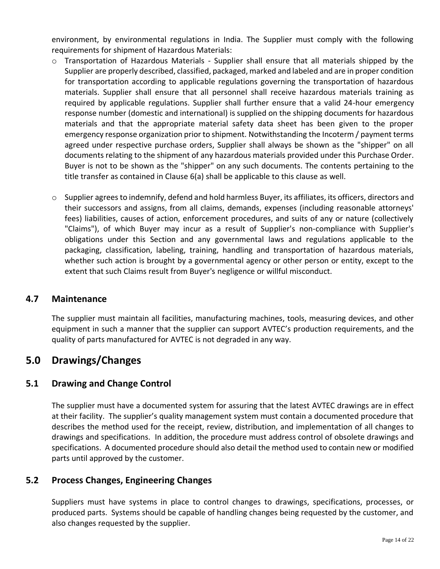environment, by environmental regulations in India. The Supplier must comply with the following requirements for shipment of Hazardous Materials:

- $\circ$  Transportation of Hazardous Materials Supplier shall ensure that all materials shipped by the Supplier are properly described, classified, packaged, marked and labeled and are in proper condition for transportation according to applicable regulations governing the transportation of hazardous materials. Supplier shall ensure that all personnel shall receive hazardous materials training as required by applicable regulations. Supplier shall further ensure that a valid 24-hour emergency response number (domestic and international) is supplied on the shipping documents for hazardous materials and that the appropriate material safety data sheet has been given to the proper emergency response organization prior to shipment. Notwithstanding the Incoterm / payment terms agreed under respective purchase orders, Supplier shall always be shown as the "shipper" on all documents relating to the shipment of any hazardous materials provided under this Purchase Order. Buyer is not to be shown as the "shipper" on any such documents. The contents pertaining to the title transfer as contained in Clause 6(a) shall be applicable to this clause as well.
- $\circ$  Supplier agrees to indemnify, defend and hold harmless Buyer, its affiliates, its officers, directors and their successors and assigns, from all claims, demands, expenses (including reasonable attorneys' fees) liabilities, causes of action, enforcement procedures, and suits of any or nature (collectively "Claims"), of which Buyer may incur as a result of Supplier's non-compliance with Supplier's obligations under this Section and any governmental laws and regulations applicable to the packaging, classification, labeling, training, handling and transportation of hazardous materials, whether such action is brought by a governmental agency or other person or entity, except to the extent that such Claims result from Buyer's negligence or willful misconduct.

## <span id="page-13-0"></span>**4.7 Maintenance**

The supplier must maintain all facilities, manufacturing machines, tools, measuring devices, and other equipment in such a manner that the supplier can support AVTEC's production requirements, and the quality of parts manufactured for AVTEC is not degraded in any way.

## <span id="page-13-1"></span>**5.0 Drawings/Changes**

## <span id="page-13-2"></span>**5.1 Drawing and Change Control**

The supplier must have a documented system for assuring that the latest AVTEC drawings are in effect at their facility. The supplier's quality management system must contain a documented procedure that describes the method used for the receipt, review, distribution, and implementation of all changes to drawings and specifications. In addition, the procedure must address control of obsolete drawings and specifications. A documented procedure should also detail the method used to contain new or modified parts until approved by the customer.

## <span id="page-13-3"></span>**5.2 Process Changes, Engineering Changes**

Suppliers must have systems in place to control changes to drawings, specifications, processes, or produced parts. Systems should be capable of handling changes being requested by the customer, and also changes requested by the supplier.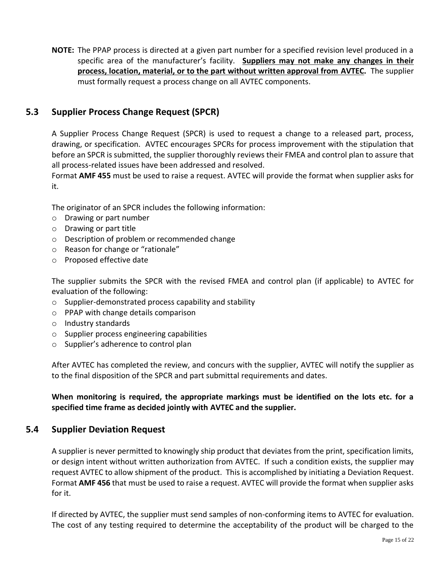**NOTE:** The PPAP process is directed at a given part number for a specified revision level produced in a specific area of the manufacturer's facility. **Suppliers may not make any changes in their process, location, material, or to the part without written approval from AVTEC.** The supplier must formally request a process change on all AVTEC components.

## <span id="page-14-0"></span>**5.3 Supplier Process Change Request (SPCR)**

A Supplier Process Change Request (SPCR) is used to request a change to a released part, process, drawing, or specification. AVTEC encourages SPCRs for process improvement with the stipulation that before an SPCR is submitted, the supplier thoroughly reviews their FMEA and control plan to assure that all process-related issues have been addressed and resolved.

Format **AMF 455** must be used to raise a request. AVTEC will provide the format when supplier asks for it.

The originator of an SPCR includes the following information:

- o Drawing or part number
- o Drawing or part title
- o Description of problem or recommended change
- o Reason for change or "rationale"
- o Proposed effective date

The supplier submits the SPCR with the revised FMEA and control plan (if applicable) to AVTEC for evaluation of the following:

- o Supplier-demonstrated process capability and stability
- o PPAP with change details comparison
- o Industry standards
- o Supplier process engineering capabilities
- o Supplier's adherence to control plan

After AVTEC has completed the review, and concurs with the supplier, AVTEC will notify the supplier as to the final disposition of the SPCR and part submittal requirements and dates.

**When monitoring is required, the appropriate markings must be identified on the lots etc. for a specified time frame as decided jointly with AVTEC and the supplier.**

## <span id="page-14-1"></span>**5.4 Supplier Deviation Request**

A supplier is never permitted to knowingly ship product that deviates from the print, specification limits, or design intent without written authorization from AVTEC. If such a condition exists, the supplier may request AVTEC to allow shipment of the product. This is accomplished by initiating a Deviation Request. Format **AMF 456** that must be used to raise a request. AVTEC will provide the format when supplier asks for it.

If directed by AVTEC, the supplier must send samples of non-conforming items to AVTEC for evaluation. The cost of any testing required to determine the acceptability of the product will be charged to the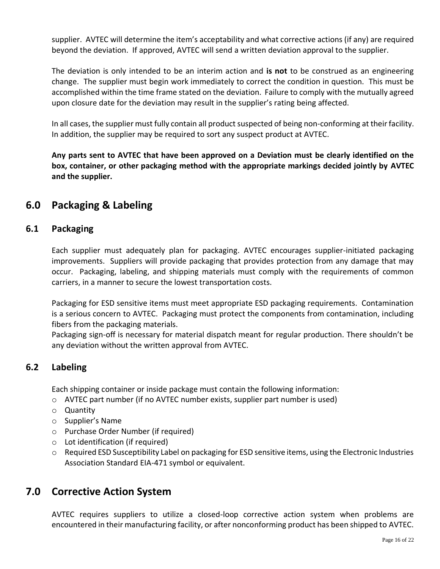supplier. AVTEC will determine the item's acceptability and what corrective actions (if any) are required beyond the deviation. If approved, AVTEC will send a written deviation approval to the supplier.

The deviation is only intended to be an interim action and **is not** to be construed as an engineering change. The supplier must begin work immediately to correct the condition in question. This must be accomplished within the time frame stated on the deviation. Failure to comply with the mutually agreed upon closure date for the deviation may result in the supplier's rating being affected.

In all cases, the supplier must fully contain all product suspected of being non-conforming at their facility. In addition, the supplier may be required to sort any suspect product at AVTEC.

**Any parts sent to AVTEC that have been approved on a Deviation must be clearly identified on the box, container, or other packaging method with the appropriate markings decided jointly by AVTEC and the supplier.**

## <span id="page-15-0"></span>**6.0 Packaging & Labeling**

## <span id="page-15-1"></span>**6.1 Packaging**

Each supplier must adequately plan for packaging. AVTEC encourages supplier-initiated packaging improvements. Suppliers will provide packaging that provides protection from any damage that may occur. Packaging, labeling, and shipping materials must comply with the requirements of common carriers, in a manner to secure the lowest transportation costs.

Packaging for ESD sensitive items must meet appropriate ESD packaging requirements. Contamination is a serious concern to AVTEC. Packaging must protect the components from contamination, including fibers from the packaging materials.

Packaging sign-off is necessary for material dispatch meant for regular production. There shouldn't be any deviation without the written approval from AVTEC.

## <span id="page-15-2"></span>**6.2 Labeling**

Each shipping container or inside package must contain the following information:

- o AVTEC part number (if no AVTEC number exists, supplier part number is used)
- o Quantity
- o Supplier's Name
- o Purchase Order Number (if required)
- o Lot identification (if required)
- $\circ$  Required ESD Susceptibility Label on packaging for ESD sensitive items, using the Electronic Industries Association Standard EIA-471 symbol or equivalent.

## <span id="page-15-3"></span>**7.0 Corrective Action System**

AVTEC requires suppliers to utilize a closed-loop corrective action system when problems are encountered in their manufacturing facility, or after nonconforming product has been shipped to AVTEC.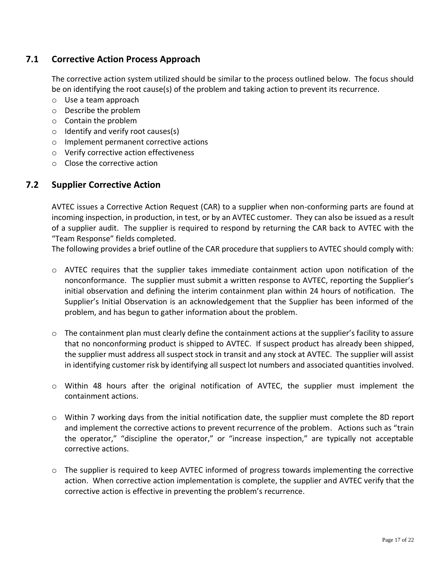## <span id="page-16-0"></span>**7.1 Corrective Action Process Approach**

The corrective action system utilized should be similar to the process outlined below. The focus should be on identifying the root cause(s) of the problem and taking action to prevent its recurrence.

- o Use a team approach
- o Describe the problem
- o Contain the problem
- $\circ$  Identify and verify root causes(s)
- o Implement permanent corrective actions
- o Verify corrective action effectiveness
- o Close the corrective action

## <span id="page-16-1"></span>**7.2 Supplier Corrective Action**

AVTEC issues a Corrective Action Request (CAR) to a supplier when non-conforming parts are found at incoming inspection, in production, in test, or by an AVTEC customer. They can also be issued as a result of a supplier audit. The supplier is required to respond by returning the CAR back to AVTEC with the "Team Response" fields completed.

The following provides a brief outline of the CAR procedure that suppliers to AVTEC should comply with:

- o AVTEC requires that the supplier takes immediate containment action upon notification of the nonconformance. The supplier must submit a written response to AVTEC, reporting the Supplier's initial observation and defining the interim containment plan within 24 hours of notification. The Supplier's Initial Observation is an acknowledgement that the Supplier has been informed of the problem, and has begun to gather information about the problem.
- $\circ$  The containment plan must clearly define the containment actions at the supplier's facility to assure that no nonconforming product is shipped to AVTEC. If suspect product has already been shipped, the supplier must address all suspect stock in transit and any stock at AVTEC. The supplier will assist in identifying customer risk by identifying all suspect lot numbers and associated quantities involved.
- o Within 48 hours after the original notification of AVTEC, the supplier must implement the containment actions.
- o Within 7 working days from the initial notification date, the supplier must complete the 8D report and implement the corrective actions to prevent recurrence of the problem. Actions such as "train the operator," "discipline the operator," or "increase inspection," are typically not acceptable corrective actions.
- o The supplier is required to keep AVTEC informed of progress towards implementing the corrective action. When corrective action implementation is complete, the supplier and AVTEC verify that the corrective action is effective in preventing the problem's recurrence.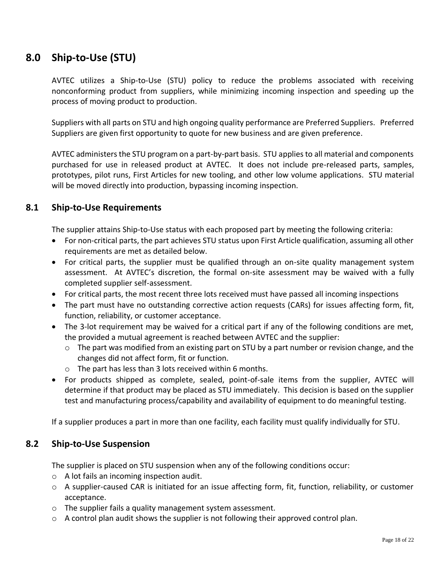## <span id="page-17-0"></span>**8.0 Ship-to-Use (STU)**

AVTEC utilizes a Ship-to-Use (STU) policy to reduce the problems associated with receiving nonconforming product from suppliers, while minimizing incoming inspection and speeding up the process of moving product to production.

Suppliers with all parts on STU and high ongoing quality performance are Preferred Suppliers. Preferred Suppliers are given first opportunity to quote for new business and are given preference.

AVTEC administers the STU program on a part-by-part basis. STU applies to all material and components purchased for use in released product at AVTEC. It does not include pre-released parts, samples, prototypes, pilot runs, First Articles for new tooling, and other low volume applications. STU material will be moved directly into production, bypassing incoming inspection.

## <span id="page-17-1"></span>**8.1 Ship-to-Use Requirements**

The supplier attains Ship-to-Use status with each proposed part by meeting the following criteria:

- For non-critical parts, the part achieves STU status upon First Article qualification, assuming all other requirements are met as detailed below.
- For critical parts, the supplier must be qualified through an on-site quality management system assessment. At AVTEC's discretion, the formal on-site assessment may be waived with a fully completed supplier self-assessment.
- For critical parts, the most recent three lots received must have passed all incoming inspections
- The part must have no outstanding corrective action requests (CARs) for issues affecting form, fit, function, reliability, or customer acceptance.
- The 3-lot requirement may be waived for a critical part if any of the following conditions are met, the provided a mutual agreement is reached between AVTEC and the supplier:
	- o The part was modified from an existing part on STU by a part number or revision change, and the changes did not affect form, fit or function.
	- o The part has less than 3 lots received within 6 months.
- For products shipped as complete, sealed, point-of-sale items from the supplier, AVTEC will determine if that product may be placed as STU immediately. This decision is based on the supplier test and manufacturing process/capability and availability of equipment to do meaningful testing.

If a supplier produces a part in more than one facility, each facility must qualify individually for STU.

## <span id="page-17-2"></span>**8.2 Ship-to-Use Suspension**

The supplier is placed on STU suspension when any of the following conditions occur:

- o A lot fails an incoming inspection audit.
- $\circ$  A supplier-caused CAR is initiated for an issue affecting form, fit, function, reliability, or customer acceptance.
- o The supplier fails a quality management system assessment.
- $\circ$  A control plan audit shows the supplier is not following their approved control plan.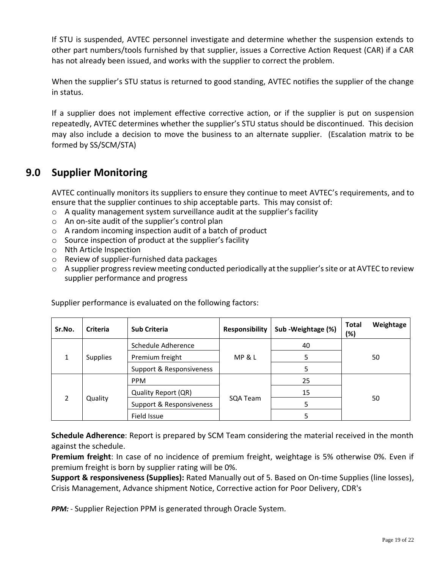If STU is suspended, AVTEC personnel investigate and determine whether the suspension extends to other part numbers/tools furnished by that supplier, issues a Corrective Action Request (CAR) if a CAR has not already been issued, and works with the supplier to correct the problem.

When the supplier's STU status is returned to good standing, AVTEC notifies the supplier of the change in status.

If a supplier does not implement effective corrective action, or if the supplier is put on suspension repeatedly, AVTEC determines whether the supplier's STU status should be discontinued. This decision may also include a decision to move the business to an alternate supplier. (Escalation matrix to be formed by SS/SCM/STA)

## <span id="page-18-0"></span>**9.0 Supplier Monitoring**

AVTEC continually monitors its suppliers to ensure they continue to meet AVTEC's requirements, and to ensure that the supplier continues to ship acceptable parts. This may consist of:

- o A quality management system surveillance audit at the supplier's facility
- o An on-site audit of the supplier's control plan
- o A random incoming inspection audit of a batch of product
- o Source inspection of product at the supplier's facility
- o Nth Article Inspection
- o Review of supplier-furnished data packages
- o A supplier progress review meeting conducted periodically at the supplier's site or at AVTEC to review supplier performance and progress

| Sr.No.               | <b>Criteria</b> | <b>Sub Criteria</b>      | <b>Responsibility</b> | Sub-Weightage (%) | Weightage<br><b>Total</b><br>(%) |  |
|----------------------|-----------------|--------------------------|-----------------------|-------------------|----------------------------------|--|
| $\blacktriangleleft$ | <b>Supplies</b> | Schedule Adherence       |                       | 40                | 50                               |  |
|                      |                 | Premium freight          | MP & L                | 5                 |                                  |  |
|                      |                 | Support & Responsiveness |                       | 5.                |                                  |  |
| $\mathcal{P}$        | Quality         | <b>PPM</b>               |                       | 25                | 50                               |  |
|                      |                 | Quality Report (QR)      |                       | 15                |                                  |  |
|                      |                 | Support & Responsiveness | SQA Team              | 5                 |                                  |  |
|                      |                 | Field Issue              |                       |                   |                                  |  |

Supplier performance is evaluated on the following factors:

**Schedule Adherence**: Report is prepared by SCM Team considering the material received in the month against the schedule.

**Premium freight**: In case of no incidence of premium freight, weightage is 5% otherwise 0%. Even if premium freight is born by supplier rating will be 0%.

**Support & responsiveness (Supplies):** Rated Manually out of 5. Based on On-time Supplies (line losses), Crisis Management, Advance shipment Notice, Corrective action for Poor Delivery, CDR's

*PPM: -* Supplier Rejection PPM is generated through Oracle System*.*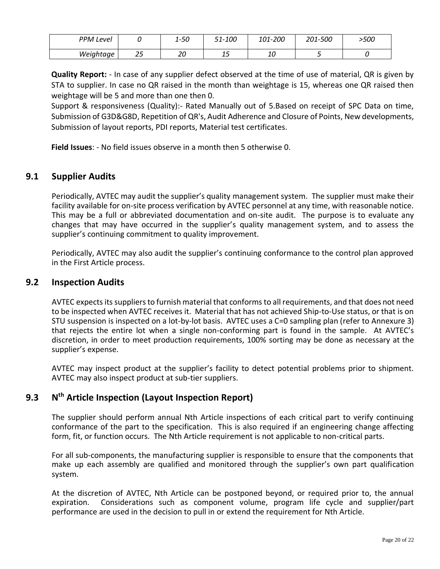| PPM'<br>Level |           | $1 - 50$ | 51-100      | <i>101-200</i> | 201-500 | >500 |
|---------------|-----------|----------|-------------|----------------|---------|------|
| Weightage     | າ –<br>رے | חר<br>∠∪ | . .<br>ب عد | 10             |         |      |

**Quality Report:** - In case of any supplier defect observed at the time of use of material, QR is given by STA to supplier. In case no QR raised in the month than weightage is 15, whereas one QR raised then weightage will be 5 and more than one then 0.

Support & responsiveness (Quality):- Rated Manually out of 5.Based on receipt of SPC Data on time, Submission of G3D&G8D, Repetition of QR's, Audit Adherence and Closure of Points, New developments, Submission of layout reports, PDI reports, Material test certificates.

**Field Issues**: - No field issues observe in a month then 5 otherwise 0.

## <span id="page-19-0"></span>**9.1 Supplier Audits**

Periodically, AVTEC may audit the supplier's quality management system. The supplier must make their facility available for on-site process verification by AVTEC personnel at any time, with reasonable notice. This may be a full or abbreviated documentation and on-site audit. The purpose is to evaluate any changes that may have occurred in the supplier's quality management system, and to assess the supplier's continuing commitment to quality improvement.

Periodically, AVTEC may also audit the supplier's continuing conformance to the control plan approved in the First Article process.

#### <span id="page-19-1"></span>**9.2 Inspection Audits**

AVTEC expects its suppliers to furnish material that conforms to all requirements, and that does not need to be inspected when AVTEC receives it. Material that has not achieved Ship-to-Use status, or that is on STU suspension is inspected on a lot-by-lot basis. AVTEC uses a C=0 sampling plan (refer to Annexure 3) that rejects the entire lot when a single non-conforming part is found in the sample. At AVTEC's discretion, in order to meet production requirements, 100% sorting may be done as necessary at the supplier's expense.

AVTEC may inspect product at the supplier's facility to detect potential problems prior to shipment. AVTEC may also inspect product at sub-tier suppliers.

#### <span id="page-19-2"></span>**9.3 N th Article Inspection (Layout Inspection Report)**

The supplier should perform annual Nth Article inspections of each critical part to verify continuing conformance of the part to the specification. This is also required if an engineering change affecting form, fit, or function occurs. The Nth Article requirement is not applicable to non-critical parts.

For all sub-components, the manufacturing supplier is responsible to ensure that the components that make up each assembly are qualified and monitored through the supplier's own part qualification system.

At the discretion of AVTEC, Nth Article can be postponed beyond, or required prior to, the annual expiration. Considerations such as component volume, program life cycle and supplier/part performance are used in the decision to pull in or extend the requirement for Nth Article.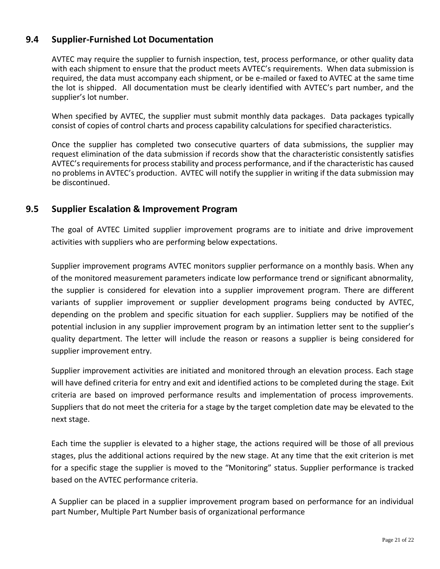## <span id="page-20-0"></span>**9.4 Supplier-Furnished Lot Documentation**

AVTEC may require the supplier to furnish inspection, test, process performance, or other quality data with each shipment to ensure that the product meets AVTEC's requirements. When data submission is required, the data must accompany each shipment, or be e-mailed or faxed to AVTEC at the same time the lot is shipped. All documentation must be clearly identified with AVTEC's part number, and the supplier's lot number.

When specified by AVTEC, the supplier must submit monthly data packages. Data packages typically consist of copies of control charts and process capability calculations for specified characteristics.

Once the supplier has completed two consecutive quarters of data submissions, the supplier may request elimination of the data submission if records show that the characteristic consistently satisfies AVTEC's requirements for process stability and process performance, and if the characteristic has caused no problems in AVTEC's production. AVTEC will notify the supplier in writing if the data submission may be discontinued.

## <span id="page-20-1"></span>**9.5 Supplier Escalation & Improvement Program**

The goal of AVTEC Limited supplier improvement programs are to initiate and drive improvement activities with suppliers who are performing below expectations.

Supplier improvement programs AVTEC monitors supplier performance on a monthly basis. When any of the monitored measurement parameters indicate low performance trend or significant abnormality, the supplier is considered for elevation into a supplier improvement program. There are different variants of supplier improvement or supplier development programs being conducted by AVTEC, depending on the problem and specific situation for each supplier. Suppliers may be notified of the potential inclusion in any supplier improvement program by an intimation letter sent to the supplier's quality department. The letter will include the reason or reasons a supplier is being considered for supplier improvement entry.

Supplier improvement activities are initiated and monitored through an elevation process. Each stage will have defined criteria for entry and exit and identified actions to be completed during the stage. Exit criteria are based on improved performance results and implementation of process improvements. Suppliers that do not meet the criteria for a stage by the target completion date may be elevated to the next stage.

Each time the supplier is elevated to a higher stage, the actions required will be those of all previous stages, plus the additional actions required by the new stage. At any time that the exit criterion is met for a specific stage the supplier is moved to the "Monitoring" status. Supplier performance is tracked based on the AVTEC performance criteria.

A Supplier can be placed in a supplier improvement program based on performance for an individual part Number, Multiple Part Number basis of organizational performance